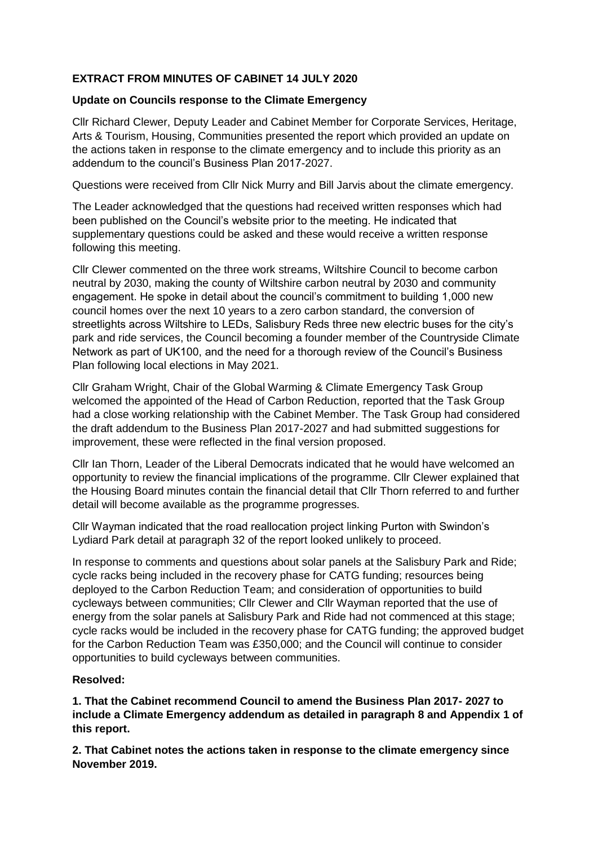## **EXTRACT FROM MINUTES OF CABINET 14 JULY 2020**

## **Update on Councils response to the Climate Emergency**

Cllr Richard Clewer, Deputy Leader and Cabinet Member for Corporate Services, Heritage, Arts & Tourism, Housing, Communities presented the report which provided an update on the actions taken in response to the climate emergency and to include this priority as an addendum to the council's Business Plan 2017-2027.

Questions were received from Cllr Nick Murry and Bill Jarvis about the climate emergency.

The Leader acknowledged that the questions had received written responses which had been published on the Council's website prior to the meeting. He indicated that supplementary questions could be asked and these would receive a written response following this meeting.

Cllr Clewer commented on the three work streams, Wiltshire Council to become carbon neutral by 2030, making the county of Wiltshire carbon neutral by 2030 and community engagement. He spoke in detail about the council's commitment to building 1,000 new council homes over the next 10 years to a zero carbon standard, the conversion of streetlights across Wiltshire to LEDs, Salisbury Reds three new electric buses for the city's park and ride services, the Council becoming a founder member of the Countryside Climate Network as part of UK100, and the need for a thorough review of the Council's Business Plan following local elections in May 2021.

Cllr Graham Wright, Chair of the Global Warming & Climate Emergency Task Group welcomed the appointed of the Head of Carbon Reduction, reported that the Task Group had a close working relationship with the Cabinet Member. The Task Group had considered the draft addendum to the Business Plan 2017-2027 and had submitted suggestions for improvement, these were reflected in the final version proposed.

Cllr Ian Thorn, Leader of the Liberal Democrats indicated that he would have welcomed an opportunity to review the financial implications of the programme. Cllr Clewer explained that the Housing Board minutes contain the financial detail that Cllr Thorn referred to and further detail will become available as the programme progresses.

Cllr Wayman indicated that the road reallocation project linking Purton with Swindon's Lydiard Park detail at paragraph 32 of the report looked unlikely to proceed.

In response to comments and questions about solar panels at the Salisbury Park and Ride; cycle racks being included in the recovery phase for CATG funding; resources being deployed to the Carbon Reduction Team; and consideration of opportunities to build cycleways between communities; Cllr Clewer and Cllr Wayman reported that the use of energy from the solar panels at Salisbury Park and Ride had not commenced at this stage; cycle racks would be included in the recovery phase for CATG funding; the approved budget for the Carbon Reduction Team was £350,000; and the Council will continue to consider opportunities to build cycleways between communities.

## **Resolved:**

**1. That the Cabinet recommend Council to amend the Business Plan 2017- 2027 to include a Climate Emergency addendum as detailed in paragraph 8 and Appendix 1 of this report.**

**2. That Cabinet notes the actions taken in response to the climate emergency since November 2019.**